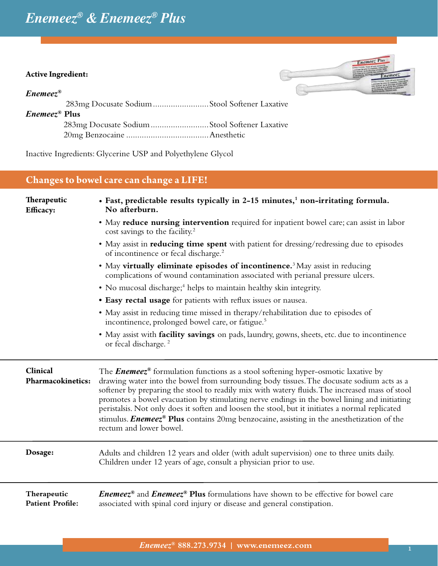# *Enemeez® & Enemeez® Plus*

#### **Active Ingredient:**

#### *Enemeez®*



283mg Docusate Sodium.........................Stool Softener Laxative *Enemeez®* **Plus** 283mg Docusate Sodium..........................Stool Softener Laxative 20mg Benzocaine .....................................Anesthetic

Inactive Ingredients: Glycerine USP and Polyethylene Glycol

## **Changes to bowel care can change a LIFE!**

| <b>Therapeutic</b><br><b>Efficacy:</b> | • Fast, predictable results typically in 2-15 minutes, <sup>1</sup> non-irritating formula.<br>No afterburn.                                                                                                                                                                                                                                                                                                                                                                                         |  |  |  |  |
|----------------------------------------|------------------------------------------------------------------------------------------------------------------------------------------------------------------------------------------------------------------------------------------------------------------------------------------------------------------------------------------------------------------------------------------------------------------------------------------------------------------------------------------------------|--|--|--|--|
|                                        | • May reduce nursing intervention required for inpatient bowel care; can assist in labor<br>cost savings to the facility. <sup>2</sup>                                                                                                                                                                                                                                                                                                                                                               |  |  |  |  |
|                                        | • May assist in reducing time spent with patient for dressing/redressing due to episodes<br>of incontinence or fecal discharge. <sup>2</sup>                                                                                                                                                                                                                                                                                                                                                         |  |  |  |  |
|                                        | • May virtually eliminate episodes of incontinence. <sup>3</sup> May assist in reducing<br>complications of wound contamination associated with perianal pressure ulcers.                                                                                                                                                                                                                                                                                                                            |  |  |  |  |
|                                        | • No mucosal discharge; <sup>4</sup> helps to maintain healthy skin integrity.                                                                                                                                                                                                                                                                                                                                                                                                                       |  |  |  |  |
|                                        | • Easy rectal usage for patients with reflux issues or nausea.                                                                                                                                                                                                                                                                                                                                                                                                                                       |  |  |  |  |
|                                        | • May assist in reducing time missed in therapy/rehabilitation due to episodes of<br>incontinence, prolonged bowel care, or fatigue. <sup>5</sup>                                                                                                                                                                                                                                                                                                                                                    |  |  |  |  |
|                                        | • May assist with <b>facility savings</b> on pads, laundry, gowns, sheets, etc. due to incontinence<br>or fecal discharge. <sup>2</sup>                                                                                                                                                                                                                                                                                                                                                              |  |  |  |  |
| Clinical<br><b>Pharmacokinetics:</b>   | The <b>Enemeez<sup>®</sup></b> formulation functions as a stool softening hyper-osmotic laxative by<br>drawing water into the bowel from surrounding body tissues. The docusate sodium acts as a<br>softener by preparing the stool to readily mix with watery fluids. The increased mass of stool<br>promotes a bowel evacuation by stimulating nerve endings in the bowel lining and initiating<br>peristalsis. Not only does it soften and loosen the stool, but it initiates a normal replicated |  |  |  |  |
|                                        | stimulus. <i>Enemeez</i> <sup>®</sup> Plus contains 20mg benzocaine, assisting in the anesthetization of the<br>rectum and lower bowel.                                                                                                                                                                                                                                                                                                                                                              |  |  |  |  |
| Dosage:                                | Adults and children 12 years and older (with adult supervision) one to three units daily.<br>Children under 12 years of age, consult a physician prior to use.                                                                                                                                                                                                                                                                                                                                       |  |  |  |  |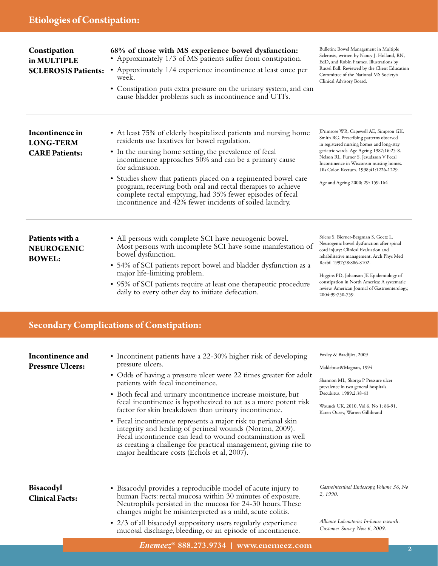| Constipation<br>in MULTIPLE<br><b>SCLEROSIS Patients:</b>    | 68% of those with MS experience bowel dysfunction:<br>• Approximately 1/3 of MS patients suffer from constipation.<br>• Approximately 1/4 experience incontinence at least once per<br>week.<br>• Constipation puts extra pressure on the urinary system, and can<br>cause bladder problems such as incontinence and UTI's.                                                                                                                                                                                       | Bulletin: Bowel Management in Multiple<br>Sclerosis,, written by Nancy J. Holland, RN,<br>EdD, and Robin Frames. Illustrations by<br>Russel Ball. Reviewed by the Client Education<br>Committee of the National MS Society's<br>Clinical Advisory Board.                                                                                      |  |  |  |
|--------------------------------------------------------------|-------------------------------------------------------------------------------------------------------------------------------------------------------------------------------------------------------------------------------------------------------------------------------------------------------------------------------------------------------------------------------------------------------------------------------------------------------------------------------------------------------------------|-----------------------------------------------------------------------------------------------------------------------------------------------------------------------------------------------------------------------------------------------------------------------------------------------------------------------------------------------|--|--|--|
| Incontinence in<br><b>LONG-TERM</b><br><b>CARE Patients:</b> | • At least 75% of elderly hospitalized patients and nursing home<br>residents use laxatives for bowel regulation.<br>• In the nursing home setting, the prevalence of fecal<br>incontinence approaches 50% and can be a primary cause<br>for admission.<br>• Studies show that patients placed on a regimented bowel care<br>program, receiving both oral and rectal therapies to achieve<br>complete rectal emptying, had 35% fewer episodes of fecal<br>incontinence and 42% fewer incidents of soiled laundry. | JPrimrose WR, Capewell AE, Simpson GK,<br>Smith RG. Prescribing patterns observed<br>in registered nursing homes and long-stay<br>geriatric wards. Age Ageing 1987;16:25-8.<br>Nelson RL, Furner S. Jesudason V Fecal<br>Incontinence in Wisconsin nursing homes.<br>Dis Colon Rectum. 1998;41:1226-1229.<br>Age and Ageing 2000; 29: 159-164 |  |  |  |
| Patients with a<br><b>NEUROGENIC</b><br><b>BOWEL:</b>        | • All persons with complete SCI have neurogenic bowel.<br>Most persons with incomplete SCI have some manifestation of<br>bowel dysfunction.<br>• 54% of SCI patients report bowel and bladder dysfunction as a<br>major life-limiting problem.<br>• 95% of SCI patients require at least one therapeutic procedure<br>daily to every other day to initiate defecation.                                                                                                                                            |                                                                                                                                                                                                                                                                                                                                               |  |  |  |
| <b>Secondary Complications of Constipation:</b>              |                                                                                                                                                                                                                                                                                                                                                                                                                                                                                                                   |                                                                                                                                                                                                                                                                                                                                               |  |  |  |
| Incontinence and<br><b>Pressure Ulcers:</b>                  | • Incontinent patients have a 22-30% higher risk of developing<br>pressure ulcers.<br>• Odds of having a pressure ulcer were 22 times greater for adult<br>patients with fecal incontinence.<br>• Both fecal and urinary incontinence increase moisture, but<br>fecal incontinence is hypothesized to act as a more potent risk<br>factor for skin breakdown than urinary incontinence.<br>• Fecal incontinence represents a major risk to perianal skin                                                          | Foxley & Baadijies, 2009<br>Maklebust&Magnan, 1994<br>Shannon ML, Skorga P Pressure ulcer<br>prevalence in two general hospitals.<br>Decubitus. 1989;2:38-43<br>Wounds UK, 2010, Vol 6, No 1; 86-91,<br>Karen Ousey, Warren Gillibrand                                                                                                        |  |  |  |

| <b>Bisacodyl</b><br><b>Clinical Facts:</b> | • Bisacodyl provides a reproducible model of acute injury to<br>human Facts: rectal mucosa within 30 minutes of exposure.<br>Neutrophils persisted in the mucosa for 24-30 hours. These<br>changes might be misinterpreted as a mild, acute colitis. | Gastrointestinal Endoscopy, Volume 36, No<br>2, 1990.                     |  |
|--------------------------------------------|------------------------------------------------------------------------------------------------------------------------------------------------------------------------------------------------------------------------------------------------------|---------------------------------------------------------------------------|--|
|                                            | • 2/3 of all bisacodyl suppository users regularly experience<br>mucosal discharge, bleeding, or an episode of incontinence.                                                                                                                         | Alliance Laboratories In-house research.<br>Customer Survey Nov. 6, 2009. |  |

integrity and healing of perineal wounds (Norton, 2009). Fecal incontinence can lead to wound contamination as well as creating a challenge for practical management, giving rise to

major healthcare costs (Echols et al, 2007).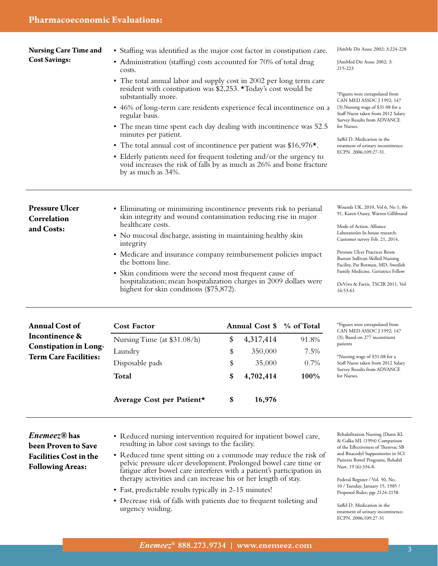**Nursing Care Time and Cost Savings:**

- Staffing was identified as the major cost factor in constipation care.
	- Administration (staffing) costs accounted for 70% of total drug costs.
	- The total annual labor and supply cost in 2002 per long term care resident with constipation was \$2,253. \*Today's cost would be substantially more.
	- 46% of long-term care residents experience fecal incontinence on a regular basis.
	- The mean time spent each day dealing with incontinence was 52.5 minutes per patient.
	- The total annual cost of incontinence per patient was \$16,976<sup>\*</sup>.
	- Elderly patients need for frequent toileting and/or the urgency to void increases the risk of falls by as much as 26% and bone fracture by as much as 34%.

**Pressure Ulcer Correlation and Costs:**

**Annual Cost of Incontinence &** 

**Constipation in Long-Term Care Facilities:**

- Eliminating or minimizing incontinence prevents risk to perianal skin integrity and wound contamination reducing rise in major healthcare costs.
- No mucosal discharge, assisting in maintaining healthy skin integrity
- Medicare and insurance company reimbursement policies impact the bottom line.
- Skin conditions were the second most frequent cause of hospitalization; mean hospitalization charges in 2009 dollars were highest for skin conditions (\$75,872).

**Cost Factor Annual Cost \$** % of Total

Nursing Time (at \$31.08/h) \$ 4,317,414 91.8% Laundry \$ 350,000 7.5% Disposable pads  $$35,000$  0.7% **Total \$ 4,702,414 100%**

JAmMe Dir Assoc 2002; 3:224-228

JAmMed Dir Assoc 2002; 3: 215-223

\*Figures were extrapolated from CAN MED ASSOC J 1992; 147 (3).Nursing wage of \$31.08 for a Staff Nurse taken from 2012 Salary Survey Results from ADVANCE for Nurses.

Saffel D. Medication in the treatment of urinary incontinence. ECPN. 2006;109:27-31.

Wounds UK, 2010, Vol 6, No 1; 86- 91, Karen Ousey, Warren Gillibrand

Mode of Action. Alliance Laboratories In-house research. Customer survey Feb. 21, 2014.

Pressure Ulcer Practices Bessie Burton Sullivan Skilled Nursing Facility, Pat Borman, MD, Swedish Family Medicine, Geriatrics Fellow

DeVivo & Farris, TSCIR 2011, Vol 16:53-61

| *Figures were extrapolated from |
|---------------------------------|
| CAN MED ASSOC J 1992; 147       |
| (3); Based on 277 incontinent   |
| patients                        |

\*Nursing wage of \$31.08 for a Staff Nurse taken from 2012 Salary Survey Results from ADVANCE for Nurses.

*Enemeez®* **has been Proven to Save Facilities Cost in the Following Areas:**

- Reduced nursing intervention required for inpatient bowel care, resulting in labor cost savings to the facility.
- Reduced time spent sitting on a commode may reduce the risk of pelvic pressure ulcer development. Prolonged bowel care time or fatigue after bowel care interferes with a patient's participation in therapy activities and can increase his or her length of stay.
- Fast, predictable results typically in 2-15 minutes!

**Average Cost per Patient\* \$ 16,976**

• Decrease risk of falls with patients due to frequent toileting and urgency voiding.

Rehabilitation Nursing (Dunn KL & Galka ML (1994) Comparison of the Effectiveness of Therevac SB and Bisacodyl Suppositories in SCI Patients Bowel Programs, Rehabil Nurs. 19 (6):334-8.

Federal Register / Vol. 50, No. 10 / Tuesday, January 15, 1985 / Proposed Rules; pgs 2124-2158.

Saffel D. Medication in the treatment of urinary incontinence. ECPN. 2006;109:27-31